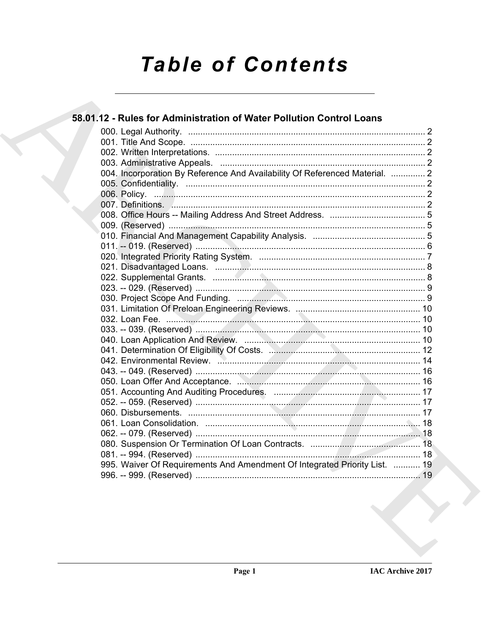# **Table of Contents**

| 58.01.12 - Rules for Administration of Water Pollution Control Loans        |  |
|-----------------------------------------------------------------------------|--|
|                                                                             |  |
|                                                                             |  |
|                                                                             |  |
|                                                                             |  |
| 004. Incorporation By Reference And Availability Of Referenced Material.  2 |  |
|                                                                             |  |
|                                                                             |  |
|                                                                             |  |
|                                                                             |  |
|                                                                             |  |
|                                                                             |  |
|                                                                             |  |
|                                                                             |  |
|                                                                             |  |
|                                                                             |  |
|                                                                             |  |
|                                                                             |  |
|                                                                             |  |
|                                                                             |  |
|                                                                             |  |
|                                                                             |  |
|                                                                             |  |
|                                                                             |  |
|                                                                             |  |
| 050. Loan Offer And Acceptance. Manuscription Manuscription 16              |  |
|                                                                             |  |
|                                                                             |  |
|                                                                             |  |
|                                                                             |  |
|                                                                             |  |
|                                                                             |  |
|                                                                             |  |
| 995. Waiver Of Requirements And Amendment Of Integrated Priority List.  19  |  |
|                                                                             |  |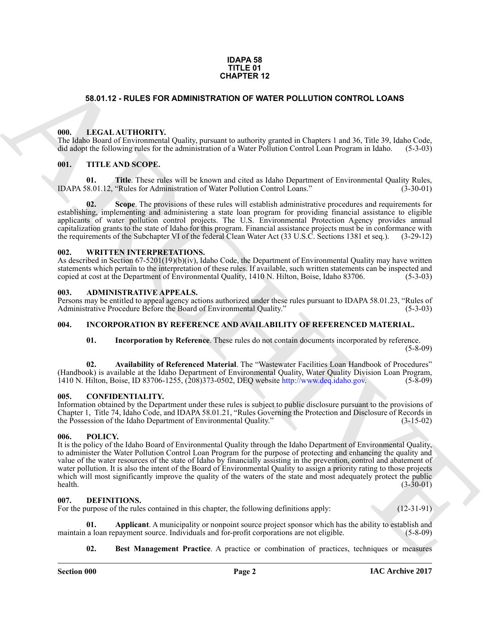#### **IDAPA 58 TITLE 01 CHAPTER 12**

#### <span id="page-1-0"></span>**58.01.12 - RULES FOR ADMINISTRATION OF WATER POLLUTION CONTROL LOANS**

#### <span id="page-1-1"></span>**000. LEGAL AUTHORITY.**

The Idaho Board of Environmental Quality, pursuant to authority granted in Chapters 1 and 36, Title 39, Idaho Code, did adopt the following rules for the administration of a Water Pollution Control Loan Program in Idaho. ( did adopt the following rules for the administration of a Water Pollution Control Loan Program in Idaho.

#### <span id="page-1-2"></span>**001. TITLE AND SCOPE.**

**01.** Title. These rules will be known and cited as Idaho Department of Environmental Quality Rules, 18.01.12. "Rules for Administration of Water Pollution Control Loans." (3-30-01) IDAPA 58.01.12, "Rules for Administration of Water Pollution Control Loans."

**02.** Scope. The provisions of these rules will establish administrative procedures and requirements for establishing, implementing and administering a state loan program for providing financial assistance to eligible applicants of water pollution control projects. The U.S. Environmental Protection Agency provides annual capitalization grants to the state of Idaho for this program. Financial assistance projects must be in conformance with the requirements of the Subchapter VI of the federal Clean Water Act (33 U.S.C. Sections 1381 et seq.). (3-29-12)

#### <span id="page-1-3"></span>**002. WRITTEN INTERPRETATIONS.**

As described in Section 67-5201(19)(b)(iv), Idaho Code, the Department of Environmental Quality may have written statements which pertain to the interpretation of these rules. If available, such written statements can be inspected and copied at cost at the Department of Environmental Quality. 1410 N. Hilton. Boise. Idaho 83706. (5-3copied at cost at the Department of Environmental Quality, 1410 N. Hilton, Boise, Idaho 83706.

#### <span id="page-1-9"></span><span id="page-1-4"></span>**003. ADMINISTRATIVE APPEALS.**

Persons may be entitled to appeal agency actions authorized under these rules pursuant to IDAPA 58.01.23, "Rules of Administrative Procedure Before the Board of Environmental Quality."

#### <span id="page-1-5"></span>**004. INCORPORATION BY REFERENCE AND AVAILABILITY OF REFERENCED MATERIAL.**

**01. Incorporation by Reference**. These rules do not contain documents incorporated by reference.  $(5-8-09)$ 

**02. Availability of Referenced Material**. The "Wastewater Facilities Loan Handbook of Procedures" (Handbook) is available at the Idaho Department of Environmental Quality, Water Quality Division Loan Program, 1410 N. Hilton, Boise, ID 83706-1255, (208) 373-0502, DEO website http://www.deg.idaho.gov. (5-8-09) 1410 N. Hilton, Boise, ID 83706-1255, (208)373-0502, DEQ website http://www.deq.idaho.gov. (5-8-09)

#### <span id="page-1-10"></span><span id="page-1-6"></span>**005. CONFIDENTIALITY.**

Information obtained by the Department under these rules is subject to public disclosure pursuant to the provisions of Chapter 1, Title 74, Idaho Code, and IDAPA 58.01.21, "Rules Governing the Protection and Disclosure of Records in the Possession of the Idaho Department of Environmental Quality." (3-15-02)

#### <span id="page-1-7"></span>**006. POLICY.**

**58.01.12 - RULES FOR ADMINISTRATION OF WATER POLLUTION CONTROL LOANS<br>
68.01.12 - RULES FOR ADMINISTRATION OF WATER POLLUTION CONTROL LOANS<br>
11. LENGTH ARTIST (POISE) and the state of the state of the state of the state o** It is the policy of the Idaho Board of Environmental Quality through the Idaho Department of Environmental Quality, to administer the Water Pollution Control Loan Program for the purpose of protecting and enhancing the quality and value of the water resources of the state of Idaho by financially assisting in the prevention, control and abatement of water pollution. It is also the intent of the Board of Environmental Quality to assign a priority rating to those projects which will most significantly improve the quality of the waters of the state and most adequately protect the public health. (3-30-01)  $\text{health.}$  (3-30-01)

#### <span id="page-1-11"></span><span id="page-1-8"></span>**007. DEFINITIONS.**

For the purpose of the rules contained in this chapter, the following definitions apply: (12-31-91)

**01. Applicant**. A municipality or nonpoint source project sponsor which has the ability to establish and a loan repayment source. Individuals and for-profit corporations are not eligible. (5-8-09) maintain a loan repayment source. Individuals and for-profit corporations are not eligible.

<span id="page-1-13"></span><span id="page-1-12"></span>**02. Best Management Practice**. A practice or combination of practices, techniques or measures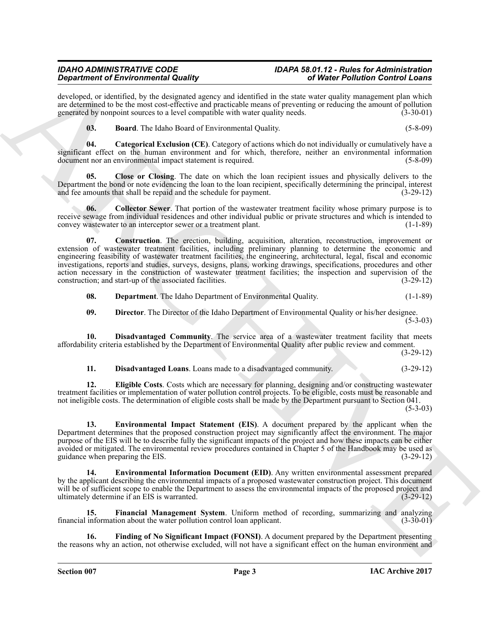# *IDAHO ADMINISTRATIVE CODE IDAPA 58.01.12 - Rules for Administration*

developed, or identified, by the designated agency and identified in the state water quality management plan which are determined to be the most cost-effective and practicable means of preventing or reducing the amount of pollution generated by nonpoint sources to a level compatible with water quality needs. (3-30-01) generated by nonpoint sources to a level compatible with water quality needs.

<span id="page-2-2"></span><span id="page-2-1"></span><span id="page-2-0"></span>

| $\boldsymbol{03}$ . | <b>Board.</b> The Idaho Board of Environmental Quality. | $(5-8-09)$ |
|---------------------|---------------------------------------------------------|------------|
|                     |                                                         |            |

**04. Categorical Exclusion (CE)**. Category of actions which do not individually or cumulatively have a significant effect on the human environment and for which, therefore, neither an environmental information document nor an environmental impact statement is required. (5-8-09) document nor an environmental impact statement is required.

**05. Close or Closing**. The date on which the loan recipient issues and physically delivers to the Department the bond or note evidencing the loan to the loan recipient, specifically determining the principal, interest and fee amounts that shall be repaid and the schedule for payment. (3-29-12) and fee amounts that shall be repaid and the schedule for payment.

<span id="page-2-4"></span><span id="page-2-3"></span>**06.** Collector Sewer. That portion of the wastewater treatment facility whose primary purpose is to receive sewage from individual residences and other individual public or private structures and which is intended to convey wastewater to an interceptor sewer or a treatment plant. (1-1-89) convey wastewater to an interceptor sewer or a treatment plant.

**Signal method of Excelse the United States and the United Photon Control in the United Photon Control in the United Photon Control in the United Photon Control in the United Photon Control in the United Photon Control in 07. Construction**. The erection, building, acquisition, alteration, reconstruction, improvement or extension of wastewater treatment facilities, including preliminary planning to determine the economic and engineering feasibility of wastewater treatment facilities, the engineering, architectural, legal, fiscal and economic investigations, reports and studies, surveys, designs, plans, working drawings, specifications, procedures and other action necessary in the construction of wastewater treatment facilities; the inspection and supervision of the construction; and start-up of the associated facilities. (3-29-12) construction; and start-up of the associated facilities.

<span id="page-2-5"></span>**08. Department**. The Idaho Department of Environmental Quality. (1-1-89)

<span id="page-2-7"></span><span id="page-2-6"></span>**09. Director**. The Director of the Idaho Department of Environmental Quality or his/her designee.  $(5-3-03)$ 

**10. Disadvantaged Community**. The service area of a wastewater treatment facility that meets affordability criteria established by the Department of Environmental Quality after public review and comment.

(3-29-12)

#### <span id="page-2-10"></span><span id="page-2-9"></span><span id="page-2-8"></span>**11. Disadvantaged Loans**. Loans made to a disadvantaged community. (3-29-12)

**12. Eligible Costs**. Costs which are necessary for planning, designing and/or constructing wastewater treatment facilities or implementation of water pollution control projects. To be eligible, costs must be reasonable and not ineligible costs. The determination of eligible costs shall be made by the Department pursuant to Section 041. (5-3-03)

**13. Environmental Impact Statement (EIS)**. A document prepared by the applicant when the Department determines that the proposed construction project may significantly affect the environment. The major purpose of the EIS will be to describe fully the significant impacts of the project and how these impacts can be either avoided or mitigated. The environmental review procedures contained in Chapter 5 of the Handbook may be used as guidance when preparing the EIS. (3-29-12) guidance when preparing the EIS. (3-29-12)

<span id="page-2-11"></span>**14. Environmental Information Document (EID)**. Any written environmental assessment prepared by the applicant describing the environmental impacts of a proposed wastewater construction project. This document will be of sufficient scope to enable the Department to assess the environmental impacts of the proposed project and ultimately determine if an EIS is warranted. (3-29-12) ultimately determine if an EIS is warranted.

<span id="page-2-12"></span>**15. Financial Management System**. Uniform method of recording, summarizing and analyzing information about the water pollution control loan applicant. (3-30-01) financial information about the water pollution control loan applicant.

<span id="page-2-13"></span>**16. Finding of No Significant Impact (FONSI)**. A document prepared by the Department presenting the reasons why an action, not otherwise excluded, will not have a significant effect on the human environment and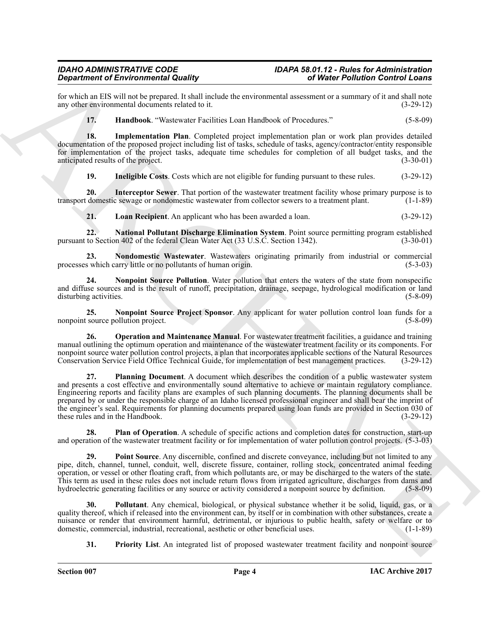for which an EIS will not be prepared. It shall include the environmental assessment or a summary of it and shall note any other environmental documents related to it. (3-29-12) any other environmental documents related to it.

<span id="page-3-1"></span><span id="page-3-0"></span>**17. Handbook**. "Wastewater Facilities Loan Handbook of Procedures." (5-8-09)

**18. Implementation Plan**. Completed project implementation plan or work plan provides detailed documentation of the proposed project including list of tasks, schedule of tasks, agency/contractor/entity responsible for implementation of the project tasks, adequate time schedules for completion of all budget tasks, and the anticipated results of the project. (3-30-01) anticipated results of the project.

<span id="page-3-3"></span><span id="page-3-2"></span>**19.** Ineligible Costs. Costs which are not eligible for funding pursuant to these rules. (3-29-12)

**20.** Interceptor Sewer. That portion of the wastewater treatment facility whose primary purpose is to domestic sewage or nondomestic wastewater from collector sewers to a treatment plant. (1-1-89) transport domestic sewage or nondomestic wastewater from collector sewers to a treatment plant.

<span id="page-3-6"></span><span id="page-3-5"></span><span id="page-3-4"></span>**21. Loan Recipient**. An applicant who has been awarded a loan. (3-29-12)

**22. National Pollutant Discharge Elimination System**. Point source permitting program established pursuant to Section 402 of the federal Clean Water Act (33 U.S.C. Section 1342). (3-30-01)

**23. Nondomestic Wastewater**. Wastewaters originating primarily from industrial or commercial s which carry little or no pollutants of human origin. (5-3-03) processes which carry little or no pollutants of human origin.

<span id="page-3-7"></span>**24. Nonpoint Source Pollution**. Water pollution that enters the waters of the state from nonspecific and diffuse sources and is the result of runoff, precipitation, drainage, seepage, hydrological modification or land disturbing activities. (5-8-09) disturbing activities.

<span id="page-3-8"></span>**25. Nonpoint Source Project Sponsor**. Any applicant for water pollution control loan funds for a source pollution project. (5-8-09) nonpoint source pollution project.

<span id="page-3-11"></span><span id="page-3-9"></span>**26. Operation and Maintenance Manual**. For wastewater treatment facilities, a guidance and training manual outlining the optimum operation and maintenance of the wastewater treatment facility or its components. For nonpoint source water pollution control projects, a plan that incorporates applicable sections of the Natural Resources Conservation Service Field Office Technical Guide, for implementation of best management practices. (3-29-12)

**Signal means of European Control Links that the constraints of Worker Politician Control Links<br>
External methods of the state of the constraints of the system of the state of the system of the system of the system of the 27. Planning Document**. A document which describes the condition of a public wastewater system and presents a cost effective and environmentally sound alternative to achieve or maintain regulatory compliance. Engineering reports and facility plans are examples of such planning documents. The planning documents shall be prepared by or under the responsible charge of an Idaho licensed professional engineer and shall bear the imprint of the engineer's seal. Requirements for planning documents prepared using loan funds are provided in Section 030 of these rules and in the Handbook. (3-29-12) these rules and in the Handbook.

<span id="page-3-10"></span>**28. Plan of Operation**. A schedule of specific actions and completion dates for construction, start-up and operation of the wastewater treatment facility or for implementation of water pollution control projects. (5-3-03)

<span id="page-3-12"></span>**29. Point Source**. Any discernible, confined and discrete conveyance, including but not limited to any pipe, ditch, channel, tunnel, conduit, well, discrete fissure, container, rolling stock, concentrated animal feeding operation, or vessel or other floating craft, from which pollutants are, or may be discharged to the waters of the state. This term as used in these rules does not include return flows from irrigated agriculture, discharges from dams and hydroelectric generating facilities or any source or activity considered a nonpoint source by definition. hydroelectric generating facilities or any source or activity considered a nonpoint source by definition.

**30. Pollutant**. Any chemical, biological, or physical substance whether it be solid, liquid, gas, or a quality thereof, which if released into the environment can, by itself or in combination with other substances, create a nuisance or render that environment harmful, detrimental, or injurious to public health, safety or welfare or to domestic commercial, industrial, recreational, aesthetic or other beneficial uses. domestic, commercial, industrial, recreational, aesthetic or other beneficial uses.

<span id="page-3-14"></span><span id="page-3-13"></span>**31.** Priority List. An integrated list of proposed wastewater treatment facility and nonpoint source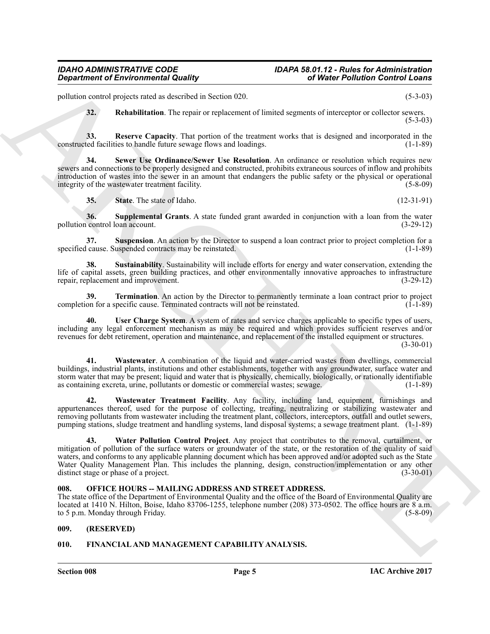### *IDAHO ADMINISTRATIVE CODE IDAPA 58.01.12 - Rules for Administration*

pollution control projects rated as described in Section 020. (5-3-03)

<span id="page-4-5"></span><span id="page-4-4"></span><span id="page-4-3"></span>**32. Rehabilitation**. The repair or replacement of limited segments of interceptor or collector sewers.  $(5-3-03)$ 

**33.** Reserve Capacity. That portion of the treatment works that is designed and incorporated in the ted facilities to handle future sewage flows and loadings. (1-1-89) constructed facilities to handle future sewage flows and loadings.

**34. Sewer Use Ordinance/Sewer Use Resolution**. An ordinance or resolution which requires new sewers and connections to be properly designed and constructed, prohibits extraneous sources of inflow and prohibits introduction of wastes into the sewer in an amount that endangers the public safety or the physical or operational integrity of the wastewater treatment facility.

<span id="page-4-8"></span><span id="page-4-7"></span><span id="page-4-6"></span>**35.** State. The state of Idaho. (12-31-91)

**36.** Supplemental Grants. A state funded grant awarded in conjunction with a loan from the water control loan account. (3-29-12) pollution control loan account.

**37. Suspension**. An action by the Director to suspend a loan contract prior to project completion for a cause. Suspended contracts may be reinstated. (1-1-89) specified cause. Suspended contracts may be reinstated.

<span id="page-4-9"></span>**38. Sustainability**. Sustainability will include efforts for energy and water conservation, extending the life of capital assets, green building practices, and other environmentally innovative approaches to infrastructure repair, replacement and improvement. (3-29-12) repair, replacement and improvement.

<span id="page-4-10"></span>**39. Termination**. An action by the Director to permanently terminate a loan contract prior to project on for a specific cause. Terminated contracts will not be reinstated. (1-1-89) completion for a specific cause. Terminated contracts will not be reinstated.

<span id="page-4-11"></span>**40. User Charge System**. A system of rates and service charges applicable to specific types of users, including any legal enforcement mechanism as may be required and which provides sufficient reserves and/or revenues for debt retirement, operation and maintenance, and replacement of the installed equipment or structures. (3-30-01)

<span id="page-4-12"></span>**41. Wastewater**. A combination of the liquid and water-carried wastes from dwellings, commercial buildings, industrial plants, institutions and other establishments, together with any groundwater, surface water and storm water that may be present; liquid and water that is physically, chemically, biologically, or rationally identifiable as containing excreta, urine, pollutants or domestic or commercial wastes; sewage. (1-1-89)

<span id="page-4-14"></span><span id="page-4-13"></span>**42. Wastewater Treatment Facility**. Any facility, including land, equipment, furnishings and appurtenances thereof, used for the purpose of collecting, treating, neutralizing or stabilizing wastewater and removing pollutants from wastewater including the treatment plant, collectors, interceptors, outfall and outlet sewers, pumping stations, sludge treatment and handling systems, land disposal systems; a sewage treatment plant. (1-1-89)

*Government of Environmental Crash as Secretary Area Content and Secretary Area Content and Secretary Area Content and Secretary Area Content and Secretary Area Content and Secretary Area Content and Secretary Area Conte* **43. Water Pollution Control Project**. Any project that contributes to the removal, curtailment, or mitigation of pollution of the surface waters or groundwater of the state, or the restoration of the quality of said waters, and conforms to any applicable planning document which has been approved and/or adopted such as the State Water Quality Management Plan. This includes the planning, design, construction/implementation or any other distinct stage or phase of a project. (3-30-01)

#### <span id="page-4-0"></span>**008. OFFICE HOURS -- MAILING ADDRESS AND STREET ADDRESS.**

The state office of the Department of Environmental Quality and the office of the Board of Environmental Quality are located at 1410 N. Hilton, Boise, Idaho 83706-1255, telephone number (208) 373-0502. The office hours are 8 a.m.<br>to 5 p.m. Monday through Friday. (5-8-09) to 5 p.m. Monday through Friday.

#### <span id="page-4-1"></span>**009. (RESERVED)**

#### <span id="page-4-15"></span><span id="page-4-2"></span>**010. FINANCIAL AND MANAGEMENT CAPABILITY ANALYSIS.**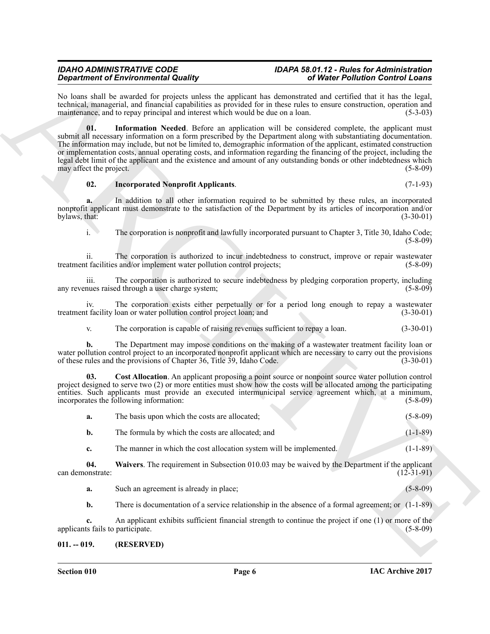### *IDAHO ADMINISTRATIVE CODE IDAPA 58.01.12 - Rules for Administration*

<span id="page-5-3"></span>No loans shall be awarded for projects unless the applicant has demonstrated and certified that it has the legal, technical, managerial, and financial capabilities as provided for in these rules to ensure construction, operation and maintenance, and to repay principal and interest which would be due on a loan.

**Strainer of Entroprintent** in Substitute to the system of WebF Politician Counter is the content of the content in the system of the system of the system of the system of the system of the system of the system of the sys **01. Information Needed**. Before an application will be considered complete, the applicant must submit all necessary information on a form prescribed by the Department along with substantiating documentation. The information may include, but not be limited to, demographic information of the applicant, estimated construction or implementation costs, annual operating costs, and information regarding the financing of the project, including the legal debt limit of the applicant and the existence and amount of any outstanding bonds or other indebtedness which may affect the project. (5-8-09)

#### <span id="page-5-2"></span>**02. Incorporated Nonprofit Applicants**. (7-1-93)

**a.** In addition to all other information required to be submitted by these rules, an incorporated nonprofit applicant must demonstrate to the satisfaction of the Department by its articles of incorporation and/or bylaws, that: (3-30-01) bylaws, that:  $(3-30-01)$ 

i. The corporation is nonprofit and lawfully incorporated pursuant to Chapter 3, Title 30, Idaho Code; (5-8-09)

ii. The corporation is authorized to incur indebtedness to construct, improve or repair wastewater treatment facilities and/or implement water pollution control projects;

iii. The corporation is authorized to secure indebtedness by pledging corporation property, including any revenues raised through a user charge system; (5-8-09)

iv. The corporation exists either perpetually or for a period long enough to repay a wastewater t facility loan or water pollution control project loan; and (3-30-01) treatment facility loan or water pollution control project loan; and

<span id="page-5-1"></span>v. The corporation is capable of raising revenues sufficient to repay a loan. (3-30-01)

**b.** The Department may impose conditions on the making of a wastewater treatment facility loan or water pollution control project to an incorporated nonprofit applicant which are necessary to carry out the provisions of these rules and the provisions of Chapter 36, Title 39, Idaho Code. (3-30-01)

**03. Cost Allocation**. An applicant proposing a point source or nonpoint source water pollution control project designed to serve two (2) or more entities must show how the costs will be allocated among the participating entities. Such applicants must provide an executed intermunicipal service agreement which, at a minimum, incorporates the following information: (5-8-09)

|  | The basis upon which the costs are allocated; |  |  |  | $(5 - 8 - 09)$ |
|--|-----------------------------------------------|--|--|--|----------------|
|--|-----------------------------------------------|--|--|--|----------------|

**b.** The formula by which the costs are allocated; and (1-1-89)

<span id="page-5-4"></span>**c.** The manner in which the cost allocation system will be implemented. (1-1-89)

**04. Waivers**. The requirement in Subsection 010.03 may be waived by the Department if the applicant can demonstrate: (12-31-91)

**a.** Such an agreement is already in place; (5-8-09)

**b.** There is documentation of a service relationship in the absence of a formal agreement; or  $(1-1-89)$ 

**c.** An applicant exhibits sufficient financial strength to continue the project if one (1) or more of the ts fails to participate. (5-8-09) applicants fails to participate.

#### <span id="page-5-0"></span>**011. -- 019. (RESERVED)**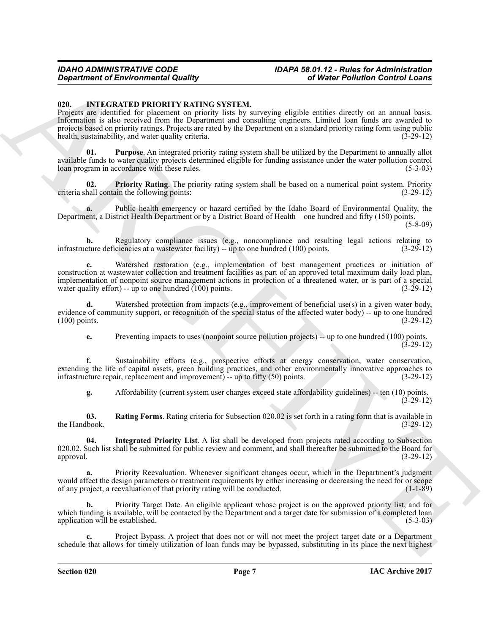## *IDAHO ADMINISTRATIVE CODE IDAPA 58.01.12 - Rules for Administration*

#### <span id="page-6-1"></span><span id="page-6-0"></span>**020. INTEGRATED PRIORITY RATING SYSTEM.**

**Constraint of Environmental Quality<br>
CO.** INTEGRATION INTEGRATION INTEGRATION CONTENTING INTEGRATION CONTENTING INTEGRATION (EXCEPT) THE EXCEPT OF THE CONTENTING INTEGRATION INTEGRATION INTEGRATION CONTENT OF THE CONTENT Projects are identified for placement on priority lists by surveying eligible entities directly on an annual basis. Information is also received from the Department and consulting engineers. Limited loan funds are awarded to projects based on priority ratings. Projects are rated by the Department on a standard priority rating form using public health, sustainability, and water quality criteria. (3-29-12)

<span id="page-6-4"></span>**01. Purpose**. An integrated priority rating system shall be utilized by the Department to annually allot available funds to water quality projects determined eligible for funding assistance under the water pollution control loan program in accordance with these rules. (5-3-03)

<span id="page-6-3"></span>**02. Priority Rating**. The priority rating system shall be based on a numerical point system. Priority hall contain the following points: (3-29-12) criteria shall contain the following points:

**a.** Public health emergency or hazard certified by the Idaho Board of Environmental Quality, the Department, a District Health Department or by a District Board of Health – one hundred and fifty (150) points. (5-8-09)

**b.** Regulatory compliance issues (e.g., noncompliance and resulting legal actions relating to infrastructure deficiencies at a wastewater facility) -- up to one hundred (100) points. (3-29-12)

**c.** Watershed restoration (e.g., implementation of best management practices or initiation of construction at wastewater collection and treatment facilities as part of an approved total maximum daily load plan, implementation of nonpoint source management actions in protection of a threatened water, or is part of a special water quality effort) -- up to one hundred  $(100)$  points.  $(3-29-12)$ 

**d.** Watershed protection from impacts (e.g., improvement of beneficial use(s) in a given water body, evidence of community support, or recognition of the special status of the affected water body) -- up to one hundred (100) points. (3-29-12)  $(100)$  points.

**e.** Preventing impacts to uses (nonpoint source pollution projects) -- up to one hundred (100) points. (3-29-12)

**f.** Sustainability efforts (e.g., prospective efforts at energy conservation, water conservation, extending the life of capital assets, green building practices, and other environmentally innovative approaches to infrastructure repair, replacement and improvement) -- up to fifty (50) points. (3-29-12)

<span id="page-6-5"></span><span id="page-6-2"></span>**g.** Affordability (current system user charges exceed state affordability guidelines) -- ten (10) points. (3-29-12)

**03.** Rating Forms. Rating criteria for Subsection 020.02 is set forth in a rating form that is available in lbook.  $(3-29-12)$ the Handbook.

**04. Integrated Priority List**. A list shall be developed from projects rated according to Subsection 020.02. Such list shall be submitted for public review and comment, and shall thereafter be submitted to the Board for approval. (3-29-12) approval. (3-29-12)

**a.** Priority Reevaluation. Whenever significant changes occur, which in the Department's judgment would affect the design parameters or treatment requirements by either increasing or decreasing the need for or scope<br>of any project, a reevaluation of that priority rating will be conducted. of any project, a reevaluation of that priority rating will be conducted.

**b.** Priority Target Date. An eligible applicant whose project is on the approved priority list, and for which funding is available, will be contacted by the Department and a target date for submission of a completed loan application will be established. (5-3-03)

**c.** Project Bypass. A project that does not or will not meet the project target date or a Department schedule that allows for timely utilization of loan funds may be bypassed, substituting in its place the next highest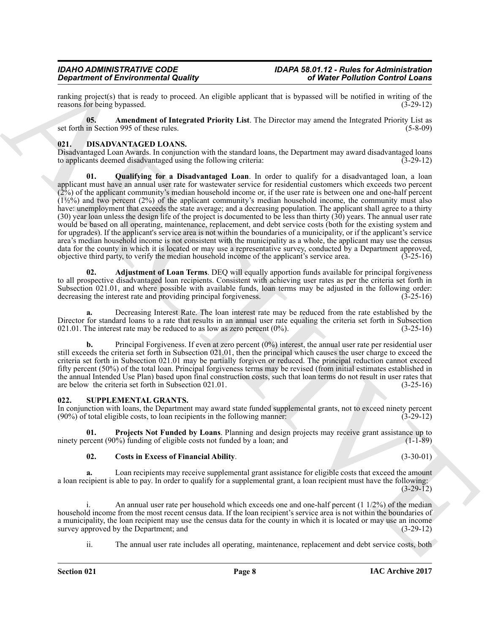ranking project(s) that is ready to proceed. An eligible applicant that is bypassed will be notified in writing of the reasons for being bypassed. (3-29-12) reasons for being bypassed.

<span id="page-7-5"></span>**05. Amendment of Integrated Priority List**. The Director may amend the Integrated Priority List as set forth in Section 995 of these rules. (5-8-09)

#### <span id="page-7-2"></span><span id="page-7-0"></span>**021. DISADVANTAGED LOANS.**

<span id="page-7-4"></span>Disadvantaged Loan Awards. In conjunction with the standard loans, the Department may award disadvantaged loans to applicants deemed disadvantaged using the following criteria: (3-29-12) to applicants deemed disadvantaged using the following criteria:

**Experiment of Energy is a straight of Equipment of Energy in the United Politicals Control Control Control Control Control Control Control Control Control Control Control Control Control Control Control Control Control C 01. Qualifying for a Disadvantaged Loan**. In order to qualify for a disadvantaged loan, a loan applicant must have an annual user rate for wastewater service for residential customers which exceeds two percent  $(2\%)$  of the applicant community's median household income or, if the user rate is between one and one-half percent  $(1\frac{1}{2}\%)$  and two percent  $(2\%)$  of the applicant community's median household income, the community must also have: unemployment that exceeds the state average; and a decreasing population. The applicant shall agree to a thirty  $(30)$  year loan unless the design life of the project is documented to be less than thirty  $(30)$  years. The annual user rate would be based on all operating, maintenance, replacement, and debt service costs (both for the existing system and for upgrades). If the applicant's service area is not within the boundaries of a municipality, or if the applicant's service area's median household income is not consistent with the municipality as a whole, the applicant may use the census data for the county in which it is located or may use a representative survey, conducted by a Department approved, objective third party, to verify the median household income of the applicant's service area. (3-25-16) objective third party, to verify the median household income of the applicant's service area. (3-25-16)

<span id="page-7-3"></span>**02. Adjustment of Loan Terms**. DEQ will equally apportion funds available for principal forgiveness to all prospective disadvantaged loan recipients. Consistent with achieving user rates as per the criteria set forth in Subsection 021.01, and where possible with available funds, loan terms may be adjusted in the following order:<br>decreasing the interest rate and providing principal forgiveness. (3-25-16) decreasing the interest rate and providing principal forgiveness.

**a.** Decreasing Interest Rate. The loan interest rate may be reduced from the rate established by the Director for standard loans to a rate that results in an annual user rate equaling the criteria set forth in Subsection 021.01. The interest rate may be reduced to as low as zero percent  $(0\%)$ .  $(3-25-16)$ 021.01. The interest rate may be reduced to as low as zero percent  $(0\%)$ .

**b.** Principal Forgiveness. If even at zero percent (0%) interest, the annual user rate per residential user still exceeds the criteria set forth in Subsection 021.01, then the principal which causes the user charge to exceed the criteria set forth in Subsection 021.01 may be partially forgiven or reduced. The principal reduction cannot exceed fifty percent (50%) of the total loan. Principal forgiveness terms may be revised (from initial estimates established in the annual Intended Use Plan) based upon final construction costs, such that loan terms do not result in user rates that are below the criteria set forth in Subsection 021.01. are below the criteria set forth in Subsection  $021.01$ .

#### <span id="page-7-6"></span><span id="page-7-1"></span>**022. SUPPLEMENTAL GRANTS.**

In conjunction with loans, the Department may award state funded supplemental grants, not to exceed ninety percent (90%) of total eligible costs, to loan recipients in the following manner: (3-29-12)  $(90\%)$  of total eligible costs, to loan recipients in the following manner:

**01. Projects Not Funded by Loans**. Planning and design projects may receive grant assistance up to recent (90%) funding of eligible costs not funded by a loan; and (1-1-89) ninety percent  $(90%)$  funding of eligible costs not funded by a loan; and

#### <span id="page-7-8"></span><span id="page-7-7"></span>**02. Costs in Excess of Financial Ability**. (3-30-01)

Loan recipients may receive supplemental grant assistance for eligible costs that exceed the amount a loan recipient is able to pay. In order to qualify for a supplemental grant, a loan recipient must have the following:  $(3-29-12)$ 

An annual user rate per household which exceeds one and one-half percent  $(1 \frac{1}{2\%})$  of the median household income from the most recent census data. If the loan recipient's service area is not within the boundaries of a municipality, the loan recipient may use the census data for the county in which it is located or may use an income survey approved by the Department; and (3-29-12) survey approved by the Department; and

ii. The annual user rate includes all operating, maintenance, replacement and debt service costs, both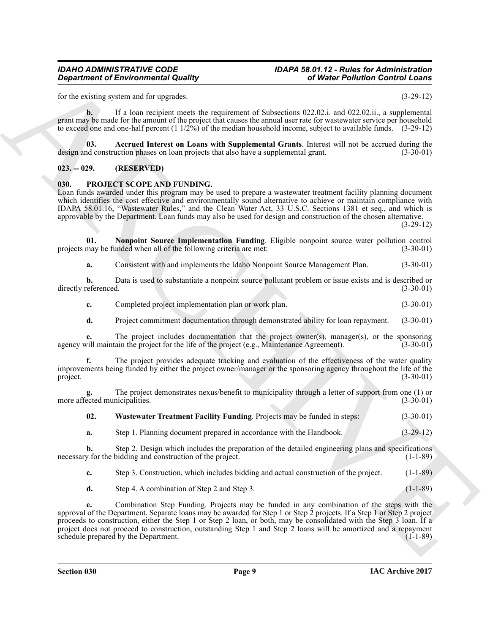### *IDAHO ADMINISTRATIVE CODE IDAPA 58.01.12 - Rules for Administration*

for the existing system and for upgrades. (3-29-12)

**b.** If a loan recipient meets the requirement of Subsections 022.02.i. and 022.02.ii., a supplemental grant may be made for the amount of the project that causes the annual user rate for wastewater service per household to exceed one and one-half percent  $(1\frac{1}{2}\%)$  of the median household income, subject to available funds.  $(3-29-12)$ 

<span id="page-8-5"></span>**03.** Accrued Interest on Loans with Supplemental Grants. Interest will not be accrued during the dependence on loan projects that also have a supplemental grant. (3-30-01) design and construction phases on loan projects that also have a supplemental grant.

#### <span id="page-8-0"></span>**023. -- 029. (RESERVED)**

#### <span id="page-8-2"></span><span id="page-8-1"></span>**030. PROJECT SCOPE AND FUNDING.**

Loan funds awarded under this program may be used to prepare a wastewater treatment facility planning document which identifies the cost effective and environmentally sound alternative to achieve or maintain compliance with IDAPA 58.01.16, "Wastewater Rules," and the Clean Water Act, 33 U.S.C. Sections 1381 et seq., and which is approvable by the Department. Loan funds may also be used for design and construction of the chosen alternative.  $(3-29-12)$ 

**01. Nonpoint Source Implementation Funding**. Eligible nonpoint source water pollution control may be funded when all of the following criteria are met: (3-30-01) projects may be funded when all of the following criteria are met:

<span id="page-8-3"></span>**a.** Consistent with and implements the Idaho Nonpoint Source Management Plan. (3-30-01)

**b.** Data is used to substantiate a nonpoint source pollutant problem or issue exists and is described or directly referenced. (3-30-01)

**c.** Completed project implementation plan or work plan. (3-30-01)

**d.** Project commitment documentation through demonstrated ability for loan repayment. (3-30-01)

**e.** The project includes documentation that the project owner(s), manager(s), or the sponsoring vill maintain the project for the life of the project (e.g., Maintenance Agreement). (3-30-01) agency will maintain the project for the life of the project (e.g., Maintenance Agreement).

**f.** The project provides adequate tracking and evaluation of the effectiveness of the water quality improvements being funded by either the project owner/manager or the sponsoring agency throughout the life of the project. (3-30-01) project. (3-30-01)

**g.** The project demonstrates nexus/benefit to municipality through a letter of support from one (1) or more affected municipalities. (3-30-01)

<span id="page-8-4"></span>**02. Wastewater Treatment Facility Funding**. Projects may be funded in steps: (3-30-01)

**a.** Step 1. Planning document prepared in accordance with the Handbook. (3-29-12)

**b.** Step 2. Design which includes the preparation of the detailed engineering plans and specifications y for the bidding and construction of the project. (1-1-89) necessary for the bidding and construction of the project.

**c.** Step 3. Construction, which includes bidding and actual construction of the project. (1-1-89)

**d.** Step 4. A combination of Step 2 and Step 3.  $(1-1-89)$ 

**Equation of Environmental Quality<br>
Let a cause the state and summation of Schedule Control Results (a)**  $\frac{1}{2}$ **<br>
Let**  $\frac{1}{2}$  **and**  $\frac{1}{2}$ **<br>
Let**  $\frac{1}{2}$  **be the state and summation of Schedule Control Results (a) \frac{ e.** Combination Step Funding. Projects may be funded in any combination of the steps with the approval of the Department. Separate loans may be awarded for Step 1 or Step 2 projects. If a Step 1 or Step 2 project proceeds to construction, either the Step 1 or Step 2 loan, or both, may be consolidated with the Step 3 loan. If a project does not proceed to construction, outstanding Step 1 and Step 2 loans will be amortized and a repayment schedule prepared by the Department. schedule prepared by the Department.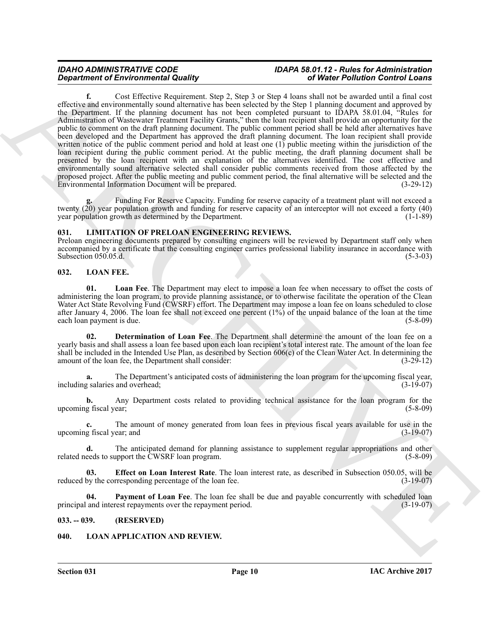# *IDAHO ADMINISTRATIVE CODE IDAPA 58.01.12 - Rules for Administration*

*General density contential Responses to the system of Weiller Buller Buller Responses to the system of General Material Supplies to the system of the system of the system of the system of the system of the system of the* **f.** Cost Effective Requirement. Step 2, Step 3 or Step 4 loans shall not be awarded until a final cost effective and environmentally sound alternative has been selected by the Step 1 planning document and approved by the Department. If the planning document has not been completed pursuant to IDAPA 58.01.04, "Rules for Administration of Wastewater Treatment Facility Grants," then the loan recipient shall provide an opportunity for the public to comment on the draft planning document. The public comment period shall be held after alternatives have been developed and the Department has approved the draft planning document. The loan recipient shall provide written notice of the public comment period and hold at least one (1) public meeting within the jurisdiction of the loan recipient during the public comment period. At the public meeting, the draft planning document shall be presented by the loan recipient with an explanation of the alternatives identified. The cost effective and environmentally sound alternative selected shall consider public comments received from those affected by the proposed project. After the public meeting and public comment period, the final alternative will be selected and the Environmental Information Document will be prepared. (3-29-12) Environmental Information Document will be prepared.

**g.** Funding For Reserve Capacity. Funding for reserve capacity of a treatment plant will not exceed a twenty (20) year population growth and funding for reserve capacity of an interceptor will not exceed a forty (40) year population growth as determined by the Department. (1-1-89)

#### <span id="page-9-4"></span><span id="page-9-0"></span>**031. LIMITATION OF PRELOAN ENGINEERING REVIEWS.**

Preloan engineering documents prepared by consulting engineers will be reviewed by Department staff only when accompanied by a certificate that the consulting engineer carries professional liability insurance in accordance with<br>Subsection 050.05.d. (5-3-03) Subsection  $050.05.d.$ 

#### <span id="page-9-6"></span><span id="page-9-1"></span>**032. LOAN FEE.**

<span id="page-9-9"></span>**01. Loan Fee**. The Department may elect to impose a loan fee when necessary to offset the costs of administering the loan program, to provide planning assistance, or to otherwise facilitate the operation of the Clean Water Act State Revolving Fund (CWSRF) effort. The Department may impose a loan fee on loans scheduled to close after January 4, 2006. The loan fee shall not exceed one percent  $(1\%)$  of the unpaid balance of the loan at the time each loan payment is due.  $(5-8-09)$ each loan payment is due.

<span id="page-9-7"></span>**02. Determination of Loan Fee**. The Department shall determine the amount of the loan fee on a yearly basis and shall assess a loan fee based upon each loan recipient's total interest rate. The amount of the loan fee shall be included in the Intended Use Plan, as described by Section  $606(c)$  of the Clean Water Act. In determining the amount of the loan fee, the Department shall consider:  $(3-29-12)$ amount of the loan fee, the Department shall consider:

**a.** The Department's anticipated costs of administering the loan program for the upcoming fiscal year, realaries and overhead: (3-19-07) including salaries and overhead;

**b.** Any Department costs related to providing technical assistance for the loan program for the g fiscal year: (5-8-09) upcoming fiscal year;

**c.** The amount of money generated from loan fees in previous fiscal years available for use in the upcoming fiscal year; and (3-19-07)

**d.** The anticipated demand for planning assistance to supplement regular appropriations and other eeds to support the CWSRF loan program.  $(5-8-09)$ related needs to support the CWSRF loan program.

<span id="page-9-8"></span>**Effect on Loan Interest Rate**. The loan interest rate, as described in Subsection 050.05, will be rresponding percentage of the loan fee. (3-19-07) reduced by the corresponding percentage of the loan fee.

<span id="page-9-10"></span>**04.** Payment of Loan Fee. The loan fee shall be due and payable concurrently with scheduled loan principal and interest repayments over the repayment period. (3-19-07)

#### <span id="page-9-2"></span>**033. -- 039. (RESERVED)**

#### <span id="page-9-5"></span><span id="page-9-3"></span>**040. LOAN APPLICATION AND REVIEW.**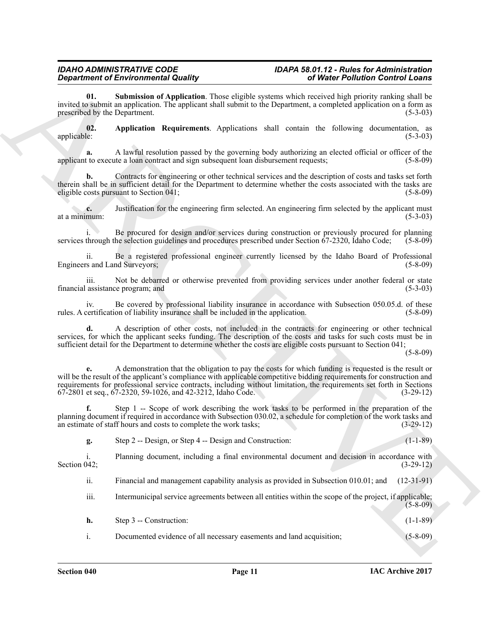# *IDAHO ADMINISTRATIVE CODE IDAPA 58.01.12 - Rules for Administration*

<span id="page-10-1"></span>**01. Submission of Application**. Those eligible systems which received high priority ranking shall be invited to submit an application. The applicant shall submit to the Department, a completed application on a form as prescribed by the Department. (5-3-03) prescribed by the Department.

<span id="page-10-0"></span>**02.** Application Requirements. Applications shall contain the following documentation, as applicable: (5-3-03) applicable: (5-3-03)

**a.** A lawful resolution passed by the governing body authorizing an elected official or officer of the applicant to execute a loan contract and sign subsequent loan disbursement requests; (5-8-09)

**b.** Contracts for engineering or other technical services and the description of costs and tasks set forth therein shall be in sufficient detail for the Department to determine whether the costs associated with the tasks are eligible costs pursuant to Section 041: eligible costs pursuant to Section 041;

**c.** Justification for the engineering firm selected. An engineering firm selected by the applicant must mum:  $(5-3-03)$ at a minimum:

i. Be procured for design and/or services during construction or previously procured for planning services through the selection guidelines and procedures prescribed under Section 67-2320, Idaho Code; (5-8-09)

ii. Be a registered professional engineer currently licensed by the Idaho Board of Professional Engineers and Land Surveyors;

iii. Not be debarred or otherwise prevented from providing services under another federal or state financial assistance program; and (5-3-03)

iv. Be covered by professional liability insurance in accordance with Subsection 050.05.d. of these certification of liability insurance shall be included in the application. (5-8-09) rules. A certification of liability insurance shall be included in the application.

**d.** A description of other costs, not included in the contracts for engineering or other technical services, for which the applicant seeks funding. The description of the costs and tasks for such costs must be in sufficient detail for the Department to determine whether the costs are eligible costs pursuant to Section 041;

(5-8-09)

**Equation of Environmental Equation**, the equation is the effective Endine Environmental and the effective environmental environmental environmental environmental environmental environmental environmental environmental en **e.** A demonstration that the obligation to pay the costs for which funding is requested is the result or will be the result of the applicant's compliance with applicable competitive bidding requirements for construction and requirements for professional service contracts, including without limitation, the requirements set forth in Sections 67-2801 et seq., 67-2320, 59-1026, and 42-3212, Idaho Code. (3-29-12)

**f.** Step 1 -- Scope of work describing the work tasks to be performed in the preparation of the planning document if required in accordance with Subsection 030.02, a schedule for completion of the work tasks and<br>(3-29-12) (3-29-12) an estimate of staff hours and costs to complete the work tasks;

**g.** Step 2 -- Design, or Step 4 -- Design and Construction: (1-1-89)

i. Planning document, including a final environmental document and decision in accordance with Section 042;  $(3-29-12)$ 

ii. Financial and management capability analysis as provided in Subsection 010.01; and (12-31-91)

iii. Intermunicipal service agreements between all entities within the scope of the project, if applicable;  $(5-8-09)$ 

| h.<br>Step 3 -- Construction: |  | $(1-1-89)$ |
|-------------------------------|--|------------|
|-------------------------------|--|------------|

i. Documented evidence of all necessary easements and land acquisition; (5-8-09)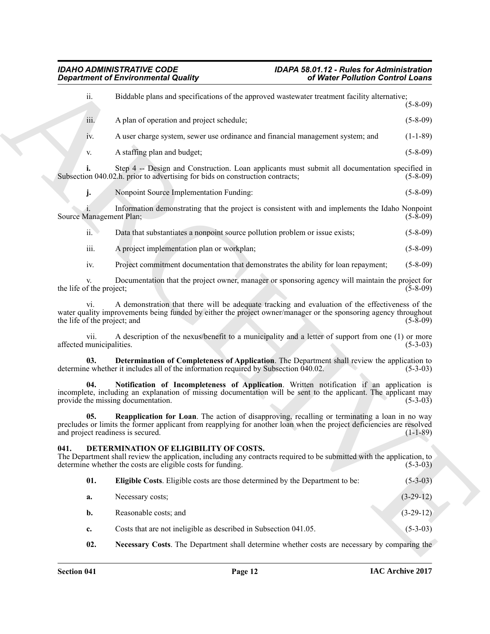<span id="page-11-6"></span><span id="page-11-5"></span><span id="page-11-4"></span><span id="page-11-3"></span><span id="page-11-2"></span><span id="page-11-1"></span><span id="page-11-0"></span>

| <b>Department of Environmental Quality</b> |                                                                                                                                                                                                                                                            | of Water Pollution Control Loans |  |  |
|--------------------------------------------|------------------------------------------------------------------------------------------------------------------------------------------------------------------------------------------------------------------------------------------------------------|----------------------------------|--|--|
| ii.                                        | Biddable plans and specifications of the approved wastewater treatment facility alternative;                                                                                                                                                               | $(5 - 8 - 09)$                   |  |  |
| iii.                                       | A plan of operation and project schedule;                                                                                                                                                                                                                  | $(5 - 8 - 09)$                   |  |  |
| 1V.                                        | A user charge system, sewer use ordinance and financial management system; and                                                                                                                                                                             | $(1-1-89)$                       |  |  |
| V.                                         | A staffing plan and budget;                                                                                                                                                                                                                                | $(5-8-09)$                       |  |  |
| i.                                         | Step 4 -- Design and Construction. Loan applicants must submit all documentation specified in<br>Subsection 040.02.h. prior to advertising for bids on construction contracts;                                                                             | $(5-8-09)$                       |  |  |
| j.                                         | Nonpoint Source Implementation Funding:                                                                                                                                                                                                                    | $(5-8-09)$                       |  |  |
| Source Management Plan;                    | Information demonstrating that the project is consistent with and implements the Idaho Nonpoint                                                                                                                                                            | $(5-8-09)$                       |  |  |
| ii.                                        | Data that substantiates a nonpoint source pollution problem or issue exists;                                                                                                                                                                               | $(5-8-09)$                       |  |  |
| iii.                                       | A project implementation plan or workplan;                                                                                                                                                                                                                 | $(5-8-09)$                       |  |  |
| iv.                                        | Project commitment documentation that demonstrates the ability for loan repayment;                                                                                                                                                                         | $(5-8-09)$                       |  |  |
| the life of the project;                   | Documentation that the project owner, manager or sponsoring agency will maintain the project for                                                                                                                                                           | $(5-8-09)$                       |  |  |
| V1.<br>the life of the project; and        | A demonstration that there will be adequate tracking and evaluation of the effectiveness of the<br>water quality improvements being funded by either the project owner/manager or the sponsoring agency throughout                                         | $(5-8-09)$                       |  |  |
| V11.<br>affected municipalities.           | A description of the nexus/benefit to a municipality and a letter of support from one (1) or more                                                                                                                                                          | $(5-3-03)$                       |  |  |
| 03.                                        | Determination of Completeness of Application. The Department shall review the application to<br>determine whether it includes all of the information required by Subsection 040.02.                                                                        | $(5-3-03)$                       |  |  |
| 04.                                        | Notification of Incompleteness of Application. Written notification if an application is<br>incomplete, including an explanation of missing documentation will be sent to the applicant. The applicant may<br>provide the missing documentation.           | $(5-3-03)$                       |  |  |
| 05.                                        | Reapplication for Loan. The action of disapproving, recalling or terminating a loan in no way<br>precludes or limits the former applicant from reapplying for another loan when the project deficiencies are resolved<br>and project readiness is secured. | $(1-1-89)$                       |  |  |
| 041.                                       | DETERMINATION OF ELIGIBILITY OF COSTS.<br>The Department shall review the application, including any contracts required to be submitted with the application, to<br>determine whether the costs are eligible costs for funding.                            | $(5-3-03)$                       |  |  |
| 01.                                        | Eligible Costs. Eligible costs are those determined by the Department to be:                                                                                                                                                                               | $(5-3-03)$                       |  |  |
| a.                                         | Necessary costs;                                                                                                                                                                                                                                           | $(3-29-12)$                      |  |  |
| b.                                         | Reasonable costs; and                                                                                                                                                                                                                                      | $(3-29-12)$                      |  |  |
| c.                                         | Costs that are not ineligible as described in Subsection 041.05.                                                                                                                                                                                           | $(5-3-03)$                       |  |  |
| 02.                                        | Necessary Costs. The Department shall determine whether costs are necessary by comparing the                                                                                                                                                               |                                  |  |  |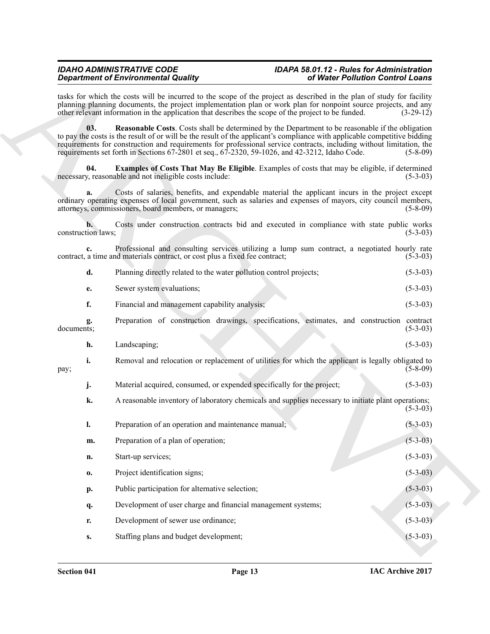# <span id="page-12-1"></span><span id="page-12-0"></span>*IDAHO ADMINISTRATIVE CODE IDAPA 58.01.12 - Rules for Administration*

|                          | <b>Department of Environmental Quality</b>                                                          | of Water Pollution Control Loans                                                                                                                                                                                                                                                                                                                             |                |  |
|--------------------------|-----------------------------------------------------------------------------------------------------|--------------------------------------------------------------------------------------------------------------------------------------------------------------------------------------------------------------------------------------------------------------------------------------------------------------------------------------------------------------|----------------|--|
|                          | other relevant information in the application that describes the scope of the project to be funded. | tasks for which the costs will be incurred to the scope of the project as described in the plan of study for facility<br>planning planning documents, the project implementation plan or work plan for nonpoint source projects, and any                                                                                                                     | $(3-29-12)$    |  |
| 03.                      | requirements set forth in Sections 67-2801 et seq., 67-2320, 59-1026, and 42-3212, Idaho Code.      | <b>Reasonable Costs.</b> Costs shall be determined by the Department to be reasonable if the obligation<br>to pay the costs is the result of or will be the result of the applicant's compliance with applicable competitive bidding<br>requirements for construction and requirements for professional service contracts, including without limitation, the | $(5-8-09)$     |  |
| 04.                      | necessary, reasonable and not ineligible costs include:                                             | <b>Examples of Costs That May Be Eligible.</b> Examples of costs that may be eligible, if determined                                                                                                                                                                                                                                                         | $(5-3-03)$     |  |
| a.                       | attorneys, commissioners, board members, or managers;                                               | Costs of salaries, benefits, and expendable material the applicant incurs in the project except<br>ordinary operating expenses of local government, such as salaries and expenses of mayors, city council members,                                                                                                                                           | $(5 - 8 - 09)$ |  |
| b.<br>construction laws; |                                                                                                     | Costs under construction contracts bid and executed in compliance with state public works                                                                                                                                                                                                                                                                    | $(5-3-03)$     |  |
| $c_{\cdot}$              | contract, a time and materials contract, or cost plus a fixed fee contract;                         | Professional and consulting services utilizing a lump sum contract, a negotiated hourly rate                                                                                                                                                                                                                                                                 | $(5-3-03)$     |  |
| d.                       | Planning directly related to the water pollution control projects;                                  |                                                                                                                                                                                                                                                                                                                                                              | $(5-3-03)$     |  |
| e.                       | Sewer system evaluations;                                                                           |                                                                                                                                                                                                                                                                                                                                                              | $(5-3-03)$     |  |
| f.                       | Financial and management capability analysis;                                                       |                                                                                                                                                                                                                                                                                                                                                              | $(5-3-03)$     |  |
| documents;               |                                                                                                     | Preparation of construction drawings, specifications, estimates, and construction contract                                                                                                                                                                                                                                                                   | $(5-3-03)$     |  |
| h.                       | Landscaping;                                                                                        |                                                                                                                                                                                                                                                                                                                                                              | $(5-3-03)$     |  |
| i.<br>pay;               |                                                                                                     | Removal and relocation or replacement of utilities for which the applicant is legally obligated to                                                                                                                                                                                                                                                           | $(5-8-09)$     |  |
| j.                       | Material acquired, consumed, or expended specifically for the project;                              |                                                                                                                                                                                                                                                                                                                                                              | $(5-3-03)$     |  |
| k.                       |                                                                                                     | A reasonable inventory of laboratory chemicals and supplies necessary to initiate plant operations;                                                                                                                                                                                                                                                          | $(5-3-03)$     |  |
| l.                       | Preparation of an operation and maintenance manual;                                                 |                                                                                                                                                                                                                                                                                                                                                              | $(5-3-03)$     |  |
| m.                       | Preparation of a plan of operation;                                                                 |                                                                                                                                                                                                                                                                                                                                                              | $(5-3-03)$     |  |
| n.                       | Start-up services;                                                                                  |                                                                                                                                                                                                                                                                                                                                                              | $(5-3-03)$     |  |
| 0.                       | Project identification signs;                                                                       |                                                                                                                                                                                                                                                                                                                                                              | $(5-3-03)$     |  |
| p.                       | Public participation for alternative selection;                                                     |                                                                                                                                                                                                                                                                                                                                                              | $(5-3-03)$     |  |
| q.                       | Development of user charge and financial management systems;                                        |                                                                                                                                                                                                                                                                                                                                                              | $(5-3-03)$     |  |
| r.                       | Development of sewer use ordinance;                                                                 |                                                                                                                                                                                                                                                                                                                                                              | $(5-3-03)$     |  |
| $S_{\bullet}$            | Staffing plans and budget development;                                                              |                                                                                                                                                                                                                                                                                                                                                              | $(5-3-03)$     |  |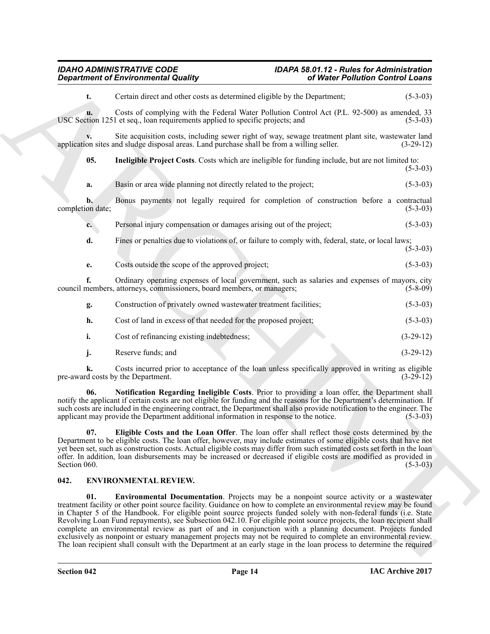### <span id="page-13-2"></span>*IDAHO ADMINISTRATIVE CODE IDAPA 58.01.12 - Rules for Administration Department of Environmental Quality*

| <b>Department of Environmental Quality</b> |                                                                                                                                                                                                                                                                                                                                                                                                                                                                                                                                                                                                                                                                                                                                                                                                                            | of Water Pollution Control Loans |             |  |
|--------------------------------------------|----------------------------------------------------------------------------------------------------------------------------------------------------------------------------------------------------------------------------------------------------------------------------------------------------------------------------------------------------------------------------------------------------------------------------------------------------------------------------------------------------------------------------------------------------------------------------------------------------------------------------------------------------------------------------------------------------------------------------------------------------------------------------------------------------------------------------|----------------------------------|-------------|--|
| t.                                         | Certain direct and other costs as determined eligible by the Department;                                                                                                                                                                                                                                                                                                                                                                                                                                                                                                                                                                                                                                                                                                                                                   |                                  | $(5-3-03)$  |  |
| u.                                         | Costs of complying with the Federal Water Pollution Control Act (P.L. 92-500) as amended, 33<br>USC Section 1251 et seq., loan requirements applied to specific projects; and                                                                                                                                                                                                                                                                                                                                                                                                                                                                                                                                                                                                                                              |                                  | $(5-3-03)$  |  |
|                                            | Site acquisition costs, including sewer right of way, sewage treatment plant site, was tewater land<br>application sites and sludge disposal areas. Land purchase shall be from a willing seller.                                                                                                                                                                                                                                                                                                                                                                                                                                                                                                                                                                                                                          |                                  | $(3-29-12)$ |  |
| 05.                                        | Ineligible Project Costs. Costs which are ineligible for funding include, but are not limited to:                                                                                                                                                                                                                                                                                                                                                                                                                                                                                                                                                                                                                                                                                                                          |                                  | $(5-3-03)$  |  |
| a.                                         | Basin or area wide planning not directly related to the project;                                                                                                                                                                                                                                                                                                                                                                                                                                                                                                                                                                                                                                                                                                                                                           |                                  | $(5-3-03)$  |  |
| b.<br>completion date;                     | Bonus payments not legally required for completion of construction before a contractual                                                                                                                                                                                                                                                                                                                                                                                                                                                                                                                                                                                                                                                                                                                                    |                                  | $(5-3-03)$  |  |
| c.                                         | Personal injury compensation or damages arising out of the project;                                                                                                                                                                                                                                                                                                                                                                                                                                                                                                                                                                                                                                                                                                                                                        |                                  | $(5-3-03)$  |  |
| d.                                         | Fines or penalties due to violations of, or failure to comply with, federal, state, or local laws;                                                                                                                                                                                                                                                                                                                                                                                                                                                                                                                                                                                                                                                                                                                         |                                  | $(5-3-03)$  |  |
| е.                                         | Costs outside the scope of the approved project;                                                                                                                                                                                                                                                                                                                                                                                                                                                                                                                                                                                                                                                                                                                                                                           |                                  | $(5-3-03)$  |  |
| f.                                         | Ordinary operating expenses of local government, such as salaries and expenses of mayors, city<br>council members, attorneys, commissioners, board members, or managers;                                                                                                                                                                                                                                                                                                                                                                                                                                                                                                                                                                                                                                                   |                                  | $(5-8-09)$  |  |
| g.                                         | Construction of privately owned wastewater treatment facilities;                                                                                                                                                                                                                                                                                                                                                                                                                                                                                                                                                                                                                                                                                                                                                           |                                  | $(5-3-03)$  |  |
| h.                                         | Cost of land in excess of that needed for the proposed project;                                                                                                                                                                                                                                                                                                                                                                                                                                                                                                                                                                                                                                                                                                                                                            |                                  | $(5-3-03)$  |  |
| i.                                         | Cost of refinancing existing indebtedness;                                                                                                                                                                                                                                                                                                                                                                                                                                                                                                                                                                                                                                                                                                                                                                                 |                                  | $(3-29-12)$ |  |
| j.                                         | Reserve funds; and                                                                                                                                                                                                                                                                                                                                                                                                                                                                                                                                                                                                                                                                                                                                                                                                         |                                  | $(3-29-12)$ |  |
|                                            | Costs incurred prior to acceptance of the loan unless specifically approved in writing as eligible<br>pre-award costs by the Department.                                                                                                                                                                                                                                                                                                                                                                                                                                                                                                                                                                                                                                                                                   |                                  | $(3-29-12)$ |  |
| 06.                                        | Notification Regarding Ineligible Costs. Prior to providing a loan offer, the Department shall<br>notify the applicant if certain costs are not eligible for funding and the reasons for the Department's determination. If<br>such costs are included in the engineering contract, the Department shall also provide notification to the engineer. The<br>applicant may provide the Department additional information in response to the notice.                                                                                                                                                                                                                                                                                                                                                                          |                                  | $(5-3-03)$  |  |
| 07.<br>Section 060.                        | Eligible Costs and the Loan Offer. The loan offer shall reflect those costs determined by the<br>Department to be eligible costs. The loan offer, however, may include estimates of some eligible costs that have not<br>yet been set, such as construction costs. Actual eligible costs may differ from such estimated costs set forth in the loan<br>offer. In addition, loan disbursements may be increased or decreased if eligible costs are modified as provided in                                                                                                                                                                                                                                                                                                                                                  |                                  | $(5-3-03)$  |  |
| 042.                                       | <b>ENVIRONMENTAL REVIEW.</b>                                                                                                                                                                                                                                                                                                                                                                                                                                                                                                                                                                                                                                                                                                                                                                                               |                                  |             |  |
| 01.                                        | <b>Environmental Documentation</b> . Projects may be a nonpoint source activity or a wastewater<br>treatment facility or other point source facility. Guidance on how to complete an environmental review may be found<br>in Chapter 5 of the Handbook. For eligible point source projects funded solely with non-federal funds (i.e. State<br>Revolving Loan Fund repayments), see Subsection 042.10. For eligible point source projects, the loan recipient shall<br>complete an environmental review as part of and in conjunction with a planning document. Projects funded<br>exclusively as nonpoint or estuary management projects may not be required to complete an environmental review.<br>The loan recipient shall consult with the Department at an early stage in the loan process to determine the required |                                  |             |  |

#### <span id="page-13-5"></span><span id="page-13-4"></span><span id="page-13-3"></span><span id="page-13-1"></span><span id="page-13-0"></span>**042. ENVIRONMENTAL REVIEW.**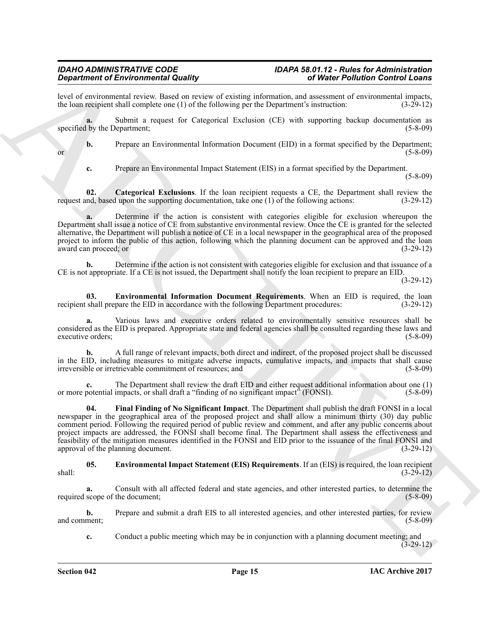level of environmental review. Based on review of existing information, and assessment of environmental impacts, the loan recipient shall complete one (1) of the following per the Department's instruction: (3-29-12) the loan recipient shall complete one  $(1)$  of the following per the Department's instruction:

**a.** Submit a request for Categorical Exclusion (CE) with supporting backup documentation as specified by the Department;  $(5-8-09)$ 

**b.** Prepare an Environmental Information Document (EID) in a format specified by the Department;<br>(5-8-09) or  $(5-8-09)$ 

<span id="page-14-0"></span>**c.** Prepare an Environmental Impact Statement (EIS) in a format specified by the Department.

(5-8-09)

**Categorical Exclusions**. If the loan recipient requests a CE, the Department shall review the lupon the supporting documentation, take one (1) of the following actions: (3-29-12) request and, based upon the supporting documentation, take one  $(1)$  of the following actions:

**a.** Determine if the action is consistent with categories eligible for exclusion whereupon the Department shall issue a notice of CE from substantive environmental review. Once the CE is granted for the selected alternative, the Department will publish a notice of CE in a local newspaper in the geographical area of the proposed project to inform the public of this action, following which the planning document can be approved and the loan award can proceed; or  $(3-29-12)$ award can proceed; or

**b.** Determine if the action is not consistent with categories eligible for exclusion and that issuance of a CE is not appropriate. If a CE is not issued, the Department shall notify the loan recipient to prepare an EID.

(3-29-12)

<span id="page-14-2"></span>**03. Environmental Information Document Requirements**. When an EID is required, the loan shall prepare the EID in accordance with the following Department procedures:  $(3-29-12)$ recipient shall prepare the EID in accordance with the following Department procedures:

**a.** Various laws and executive orders related to environmentally sensitive resources shall be considered as the EID is prepared. Appropriate state and federal agencies shall be consulted regarding these laws and executive orders;

**b.** A full range of relevant impacts, both direct and indirect, of the proposed project shall be discussed in the EID, including measures to mitigate adverse impacts, cumulative impacts, and impacts that shall cause<br>irreversible or irretrievable commitment of resources; and (5-8-09) irreversible or irretrievable commitment of resources; and

<span id="page-14-3"></span>**c.** The Department shall review the draft EID and either request additional information about one (1) potential impacts, or shall draft a "finding of no significant impact" (FONSI). (5-8-09) or more potential impacts, or shall draft a "finding of no significant impact" (FONSI).

**Signification** of Entertainmential Landace in the state of the content of the Fourier Fourier and the state of the state of the state of the state of the state of the state of the state of the state of the state of the s **04. Final Finding of No Significant Impact**. The Department shall publish the draft FONSI in a local newspaper in the geographical area of the proposed project and shall allow a minimum thirty (30) day public comment period. Following the required period of public review and comment, and after any public concerns about project impacts are addressed, the FONSI shall become final. The Department shall assess the effectiveness and feasibility of the mitigation measures identified in the FONSI and EID prior to the issuance of the final FONSI and approval of the planning document.

<span id="page-14-1"></span>**05. Environmental Impact Statement (EIS) Requirements**. If an (EIS) is required, the loan recipient shall: (3-29-12)

**a.** Consult with all affected federal and state agencies, and other interested parties, to determine the scope of the document; (5-8-09) required scope of the document;

**b.** Prepare and submit a draft EIS to all interested agencies, and other interested parties, for review ment; (5-8-09) and comment;

**c.** Conduct a public meeting which may be in conjunction with a planning document meeting; and  $(3-29-12)$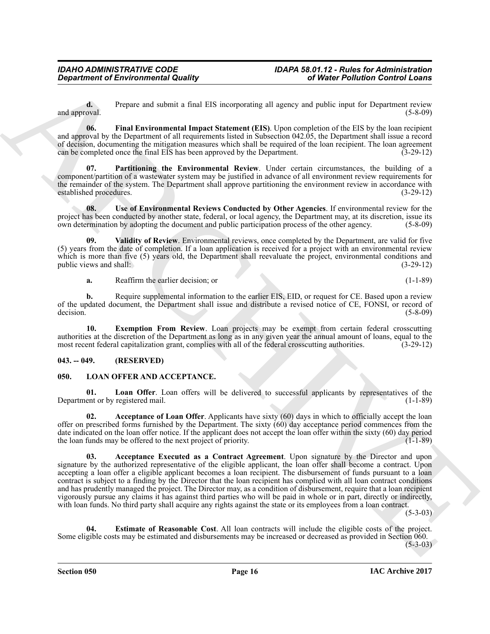**d.** Prepare and submit a final EIS incorporating all agency and public input for Department review oval. (5-8-09) and approval.

<span id="page-15-3"></span>**06. Final Environmental Impact Statement (EIS)**. Upon completion of the EIS by the loan recipient and approval by the Department of all requirements listed in Subsection 042.05, the Department shall issue a record of decision, documenting the mitigation measures which shall be required of the loan recipient. The loan agreement can be completed once the final EIS has been approved by the Department. (3-29-12)

<span id="page-15-4"></span>**Partitioning the Environmental Review**. Under certain circumstances, the building of a component/partition of a wastewater system may be justified in advance of all environment review requirements for the remainder of the system. The Department shall approve partitioning the environment review in accordance with established procedures. (3-29-12) established procedures.

<span id="page-15-5"></span>**08.** Use of Environmental Reviews Conducted by Other Agencies. If environmental review for the project has been conducted by another state, federal, or local agency, the Department may, at its discretion, issue its own determination by adopting the document and public participation process of the other agency. (5-8own determination by adopting the document and public participation process of the other agency.

**09. Validity of Review**. Environmental reviews, once completed by the Department, are valid for five (5) years from the date of completion. If a loan application is received for a project with an environmental review which is more than five (5) years old, the Department shall reevaluate the project, environmental conditions and public views and shall:  $(3-29-12)$ public views and shall:

<span id="page-15-6"></span><span id="page-15-2"></span>**a.** Reaffirm the earlier decision; or (1-1-89)

**b.** Require supplemental information to the earlier EIS, EID, or request for CE. Based upon a review of the updated document, the Department shall issue and distribute a revised notice of CE, FONSI, or record of decision. (5-8-09) decision. (5-8-09)

**10. Exemption From Review**. Loan projects may be exempt from certain federal crosscutting authorities at the discretion of the Department as long as in any given year the annual amount of loans, equal to the most recent federal capitalization grant, complies with all of the federal crosscutting authorities. (3most recent federal capitalization grant, complies with all of the federal crosscutting authorities.

#### <span id="page-15-0"></span>**043. -- 049. (RESERVED)**

#### <span id="page-15-7"></span><span id="page-15-1"></span>**050. LOAN OFFER AND ACCEPTANCE.**

<span id="page-15-11"></span>**01.** Loan Offer. Loan offers will be delivered to successful applicants by representatives of the ent or by registered mail. (1-1-89) Department or by registered mail.

<span id="page-15-9"></span><span id="page-15-8"></span>**02. Acceptance of Loan Offer**. Applicants have sixty (60) days in which to officially accept the loan offer on prescribed forms furnished by the Department. The sixty (60) day acceptance period commences from the date indicated on the loan offer notice. If the applicant does not accept the loan offer within the sixty (60) day period the loan funds may be offered to the next project of priority. (1-1-89) the loan funds may be offered to the next project of priority.

**Constrained of Environmental Quality<br>
Constrained in Equation Constrained Bureau and LIS isospectral and the system and the Department of the System and the System and the System and the System and the System and the Sys 03. Acceptance Executed as a Contract Agreement**. Upon signature by the Director and upon signature by the authorized representative of the eligible applicant, the loan offer shall become a contract. Upon accepting a loan offer a eligible applicant becomes a loan recipient. The disbursement of funds pursuant to a loan contract is subject to a finding by the Director that the loan recipient has complied with all loan contract conditions and has prudently managed the project. The Director may, as a condition of disbursement, require that a loan recipient vigorously pursue any claims it has against third parties who will be paid in whole or in part, directly or indirectly, with loan funds. No third party shall acquire any rights against the state or its employees from a loan contract.

 $(5-3-03)$ 

<span id="page-15-10"></span>**04. Estimate of Reasonable Cost**. All loan contracts will include the eligible costs of the project. Some eligible costs may be estimated and disbursements may be increased or decreased as provided in Section 060.  $(5-3-03)$ 

**IAC Archive 2017**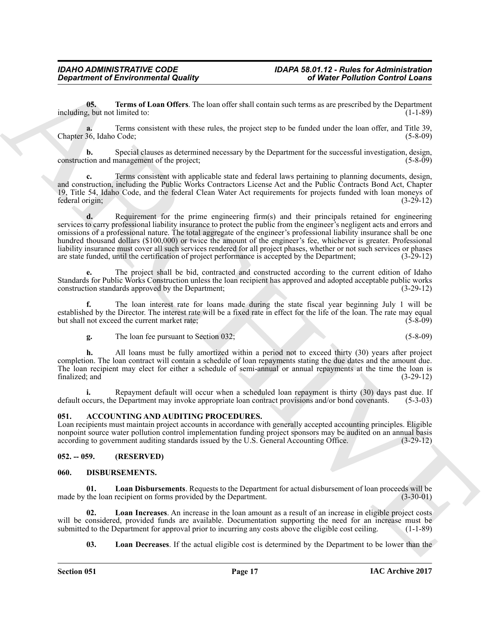<span id="page-16-8"></span>**05. Terms of Loan Offers**. The loan offer shall contain such terms as are prescribed by the Department  $\alpha$ , but not limited to: (1-1-89) including, but not limited to:

**a.** Terms consistent with these rules, the project step to be funded under the loan offer, and Title 39, Chapter 36, Idaho Code; (5-8-09)

**b.** Special clauses as determined necessary by the Department for the successful investigation, design, tion and management of the project: (5-8-09) construction and management of the project;

**c.** Terms consistent with applicable state and federal laws pertaining to planning documents, design, and construction, including the Public Works Contractors License Act and the Public Contracts Bond Act, Chapter 19, Title 54, Idaho Code, and the federal Clean Water Act requirements for projects funded with loan moneys of federal origin;

**Expansion of Environmental Quality and the set of the President Control Weiler Politician Control Control<br>
Weiler Politician Chinese Research Control Control Control Control Control Control Control Control Control Contro d.** Requirement for the prime engineering firm(s) and their principals retained for engineering services to carry professional liability insurance to protect the public from the engineer's negligent acts and errors and omissions of a professional nature. The total aggregate of the engineer's professional liability insurance shall be one hundred thousand dollars (\$100,000) or twice the amount of the engineer's fee, whichever is greater. Professional liability insurance must cover all such services rendered for all project phases, whether or not such services or phases are state funded, until the certification of project performance is accepted by the Department; (3-29 are state funded, until the certification of project performance is accepted by the Department;

**e.** The project shall be bid, contracted and constructed according to the current edition of Idaho Standards for Public Works Construction unless the loan recipient has approved and adopted acceptable public works construction standards approved by the Department; (3-29-12)

**f.** The loan interest rate for loans made during the state fiscal year beginning July 1 will be established by the Director. The interest rate will be a fixed rate in effect for the life of the loan. The rate may equal but shall not exceed the current market rate;<br>(5-8-09) but shall not exceed the current market rate;

**g.** The loan fee pursuant to Section 032; (5-8-09)

**h.** All loans must be fully amortized within a period not to exceed thirty (30) years after project completion. The loan contract will contain a schedule of loan repayments stating the due dates and the amount due. The loan recipient may elect for either a schedule of semi-annual or annual repayments at the time the loan is finalized; and (3-29-12) finalized; and  $(3-29-12)$ 

**i.** Repayment default will occur when a scheduled loan repayment is thirty (30) days past due. If ccurs, the Department may invoke appropriate loan contract provisions and/or bond covenants. (5-3-03) default occurs, the Department may invoke appropriate loan contract provisions and/or bond covenants.

#### <span id="page-16-3"></span><span id="page-16-0"></span>**051. ACCOUNTING AND AUDITING PROCEDURES.**

Loan recipients must maintain project accounts in accordance with generally accepted accounting principles. Eligible nonpoint source water pollution control implementation funding project sponsors may be audited on an annual basis according to government auditing standards issued by the U.S. General Accounting Office. (3-29-12) according to government auditing standards issued by the U.S. General Accounting Office.

#### <span id="page-16-1"></span>**052. -- 059. (RESERVED)**

#### <span id="page-16-4"></span><span id="page-16-2"></span>**060. DISBURSEMENTS.**

<span id="page-16-6"></span>**Loan Disbursements**. Requests to the Department for actual disbursement of loan proceeds will be recipient on forms provided by the Department. made by the loan recipient on forms provided by the Department.

**02. Loan Increases**. An increase in the loan amount as a result of an increase in eligible project costs will be considered, provided funds are available. Documentation supporting the need for an increase must be submitted to the Department for approval prior to incurring any costs above the eligible cost ceiling. (1-1-89) submitted to the Department for approval prior to incurring any costs above the eligible cost ceiling.

<span id="page-16-7"></span><span id="page-16-5"></span>**03.** Loan Decreases. If the actual eligible cost is determined by the Department to be lower than the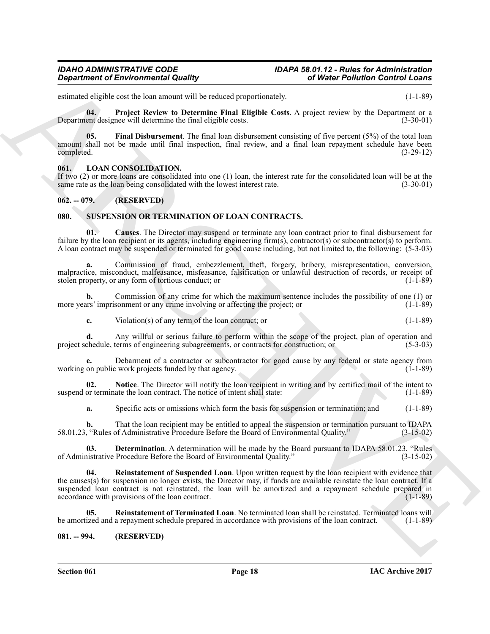### *IDAHO ADMINISTRATIVE CODE IDAPA 58.01.12 - Rules for Administration*

estimated eligible cost the loan amount will be reduced proportionately. (1-1-89)

<span id="page-17-5"></span>**04. Project Review to Determine Final Eligible Costs**. A project review by the Department or a Department designee will determine the final eligible costs. (3-30-01)

<span id="page-17-4"></span>**05. Final Disbursement**. The final loan disbursement consisting of five percent (5%) of the total loan amount shall not be made until final inspection, final review, and a final loan repayment schedule have been completed. (3-29-12) completed. (3-29-12)

#### <span id="page-17-6"></span><span id="page-17-0"></span>**061. LOAN CONSOLIDATION.**

If two (2) or more loans are consolidated into one (1) loan, the interest rate for the consolidated loan will be at the same rate as the loan being consolidated with the lowest interest rate.

#### <span id="page-17-1"></span>**062. -- 079. (RESERVED)**

#### <span id="page-17-7"></span><span id="page-17-2"></span>**080. SUSPENSION OR TERMINATION OF LOAN CONTRACTS.**

<span id="page-17-8"></span>**01. Causes**. The Director may suspend or terminate any loan contract prior to final disbursement for failure by the loan recipient or its agents, including engineering firm(s), contractor(s) or subcontractor(s) to perform. A loan contract may be suspended or terminated for good cause including, but not limited to, the following: (5-3-03)

**a.** Commission of fraud, embezzlement, theft, forgery, bribery, misrepresentation, conversion, malpractice, misconduct, malfeasance, misfeasance, falsification or unlawful destruction of records, or receipt of stolen property or any form of tortious conduct; or stolen property, or any form of tortious conduct; or

**b.** Commission of any crime for which the maximum sentence includes the possibility of one (1) or ars' imprisonment or any crime involving or affecting the project; or  $(1-1-89)$ more years' imprisonment or any crime involving or affecting the project; or

**c.** Violation(s) of any term of the loan contract; or (1-1-89)

**d.** Any willful or serious failure to perform within the scope of the project, plan of operation and chedule, terms of engineering subagreements, or contracts for construction; or (5-3-03) project schedule, terms of engineering subagreements, or contracts for construction; or

Debarment of a contractor or subcontractor for good cause by any federal or state agency from the work projects funded by that agency. working on public work projects funded by that agency.

**02.** Notice. The Director will notify the loan recipient in writing and by certified mail of the intent to or terminate the loan contract. The notice of intent shall state: (1-1-89) suspend or terminate the loan contract. The notice of intent shall state:

<span id="page-17-10"></span><span id="page-17-9"></span>**a.** Specific acts or omissions which form the basis for suspension or termination; and  $(1-1-89)$ 

**b.** That the loan recipient may be entitled to appeal the suspension or termination pursuant to IDAPA 58.01.23, "Rules of Administrative Procedure Before the Board of Environmental Quality." (3-15-02)

<span id="page-17-11"></span>**03. Determination**. A determination will be made by the Board pursuant to IDAPA 58.01.23, "Rules nistrative Procedure Before the Board of Environmental Quality." (3-15-02) of Administrative Procedure Before the Board of Environmental Quality."

*General of Environmental Quality*<br>
Simple teached the manuscript of Weiter Politicals Control Control Control Control Control Control Control Control Control Control Control Control Control Control Control Control Cont **04. Reinstatement of Suspended Loan**. Upon written request by the loan recipient with evidence that the causes(s) for suspension no longer exists, the Director may, if funds are available reinstate the loan contract. If a suspended loan contract is not reinstated, the loan will be amortized and a repayment schedule prepared in accordance with provisions of the loan contract. accordance with provisions of the loan contract.

<span id="page-17-12"></span>**05.** Reinstatement of Terminated Loan. No terminated loan shall be reinstated. Terminated loans will ized and a repayment schedule prepared in accordance with provisions of the loan contract. (1-1-89) be amortized and a repayment schedule prepared in accordance with provisions of the loan contract.

#### <span id="page-17-3"></span>**081. -- 994. (RESERVED)**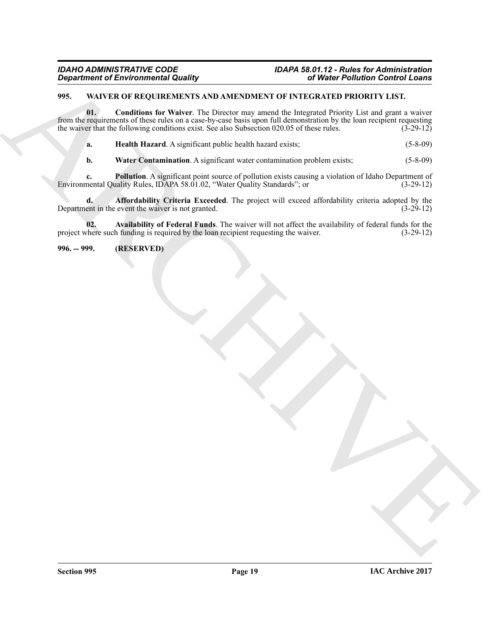### <span id="page-18-2"></span><span id="page-18-0"></span>**995. WAIVER OF REQUIREMENTS AND AMENDMENT OF INTEGRATED PRIORITY LIST.**

*Dispartment of Environmental Quality*<br>
29. Where  $\mu$  are the state that the Waltz-William of Nieuwe The Present way mend the Heigenstein District of the state<br>
20. Where  $\mu$  are the state of the state of the state of t **01. Conditions for Waiver**. The Director may amend the Integrated Priority List and grant a waiver from the requirements of these rules on a case-by-case basis upon full demonstration by the loan recipient requesting the waiver that the following conditions exist. See also Subsection 020.05 of these rules. (3-29-12) the waiver that the following conditions exist. See also Subsection 020.05 of these rules.

<span id="page-18-6"></span><span id="page-18-5"></span>**a. Health Hazard**. A significant public health hazard exists; (5-8-09)

<span id="page-18-8"></span><span id="page-18-7"></span><span id="page-18-3"></span>**b.** Water Contamination. A significant water contamination problem exists; (5-8-09)

**c. Pollution**. A significant point source of pollution exists causing a violation of Idaho Department of nental Quality Rules, IDAPA 58.01.02, "Water Quality Standards"; or  $(3-29-12)$ Environmental Quality Rules, IDAPA 58.01.02, "Water Quality Standards"; or

**d. Affordability Criteria Exceeded**. The project will exceed affordability criteria adopted by the ent in the event the waiver is not granted. (3-29-12) Department in the event the waiver is not granted.

<span id="page-18-4"></span>**02.** Availability of Federal Funds. The waiver will not affect the availability of federal funds for the chere such funding is required by the loan recipient requesting the waiver. (3-29-12) project where such funding is required by the loan recipient requesting the waiver.

<span id="page-18-1"></span>**996. -- 999. (RESERVED)**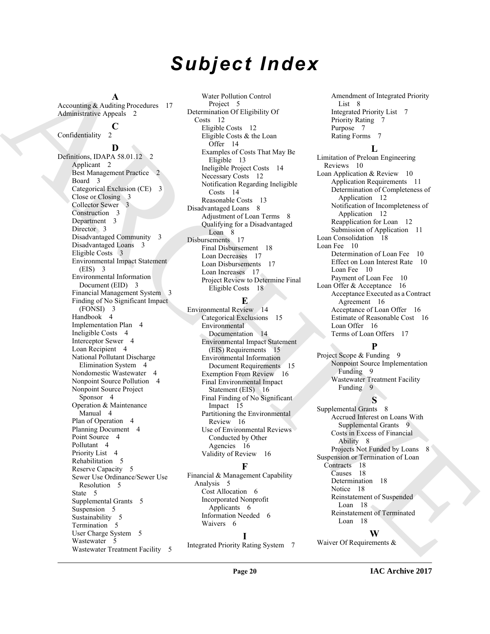# *Subject Index*

**A**

Accounting & Auditing Procedures 17 Administrative Appeals 2

### $\int_{2}^{6}$

Confidentiality

[A](#page-16-3)ccording A and Procedures 7<br>
Admission de Appois 2<br>
Admission de Appois 2<br>
Admission de Appois 2<br>
Admission de Appois 2<br>
Convention de Convention de Appois 2<br>
Convention de Convention de Appois 2<br>
Convention de Conventio **D** Definitions, IDAPA 58.01.12 2 Applicant 2 Best Management Practice Board 3 Categorical Exclusion (CE) 3 Close or Closing 3 Collector Sewer 3 Construction 3 Department 3 Director<sub>3</sub> Disadvantaged Community 3 Disadvantaged Loans 3 Eligible Costs 3 Environmental Impact Statement (EIS) 3 Environmental Information Document (EID) 3 Financial Management System 3 Finding of No Significant Impact (FONSI) 3 Handbook 4 Implementation Plan 4 Ineligible Costs 4 Interceptor Sewer 4 Loan Recipient 4 National Pollutant Discharge Elimination System 4 Nondomestic Wastewater 4 Nonpoint Source Pollution 4 Nonpoint Source Project Sponsor 4 Operation & Maintenance Manual 4 Plan of Operation 4 Planning Document 4 Point Source 4 Pollutant 4 Priority List 4 Rehabilitation 5 Reserve Capacity 5 Sewer Use Ordinance/Sewer Use Resolution 5 State 5 Supplemental Grants 5 Suspension 5 Sustainability 5 Termination 5 User Charge System 5 Wastewater 5 Wastewater Treatment Facility 5

Water Pollution Control Project<sub>5</sub> Determination Of Eligibility Of Costs 12 Eligible Costs 12 Eligible Costs & the Loan Offer 14 Examples of Costs That May Be Eligible 13 Ineligible Project Costs 14 Necessary Costs 12 Notification Regarding Ineligible Costs 14 Reasonable Costs 13 Disadvantaged Loans 8 Adjustment of Loan Terms 8 Qualifying for a Disadvantaged Loan 8 Disbursements 17 Final Disbursement 18 Loan Decreases 17 Loan Disbursements 17 Loan Increases 17 Project Review to Determine Final Eligible Costs 18

### **E**

Environmental Review 14 Categorical Exclusions 15 Environmental Documentation 14 Environmental Impact Statement (EIS) Requirements 15 Environmental Information Document Requirements 15 Exemption From Review 16 Final Environmental Impact Statement (EIS) 16 Final Finding of No Significant Impact 15 Partitioning the Environmental Review 16 Use of Environmental Reviews Conducted by Other Agencies 16 Validity of Review 16

### **F**

Financial & Management Capability Analysis 5 Cost Allocation 6 Incorporated Nonprofit Applicants 6 Information Needed 6 Waivers 6

### **I**

Integrated Priority Rating System 7

Amendment of Integrated Priority List<sub>8</sub> Integrated Priority List 7 Priority Rating 7 Purpose 7 Rating Forms 7

### **L**

Limitation of Preloan Engineering Reviews 10 Loan Application & Review 10 Application Requirements 11 Determination of Completeness of Application 12 Notification of Incompleteness of Application 12 Reapplication for Loan 12 Submission of Application 11 Loan Consolidation 18 Loan Fee 10 Determination of Loan Fee 10 Effect on Loan Interest Rate 10 Loan Fee 10 Payment of Loan Fee 10 Loan Offer & Acceptance 16 Acceptance Executed as a Contract Agreement 16 Acceptance of Loan Offer 16 Estimate of Reasonable Cost 16 Loan Offer 16 Terms of Loan Offers 17

### **P**

Project Scope & Funding 9 Nonpoint Source Implementation Funding 9 Wastewater Treatment Facility Funding 9

### **S**

Supplemental Grants 8 Accrued Interest on Loans With Supplemental Grants 9 Costs in Excess of Financial Ability 8 Projects Not Funded by Loans 8 Suspension or Termination of Loan Contracts 18 Causes 18 Determination 18 Notice 18 Reinstatement of Suspended Loan 18 Reinstatement of Terminated Loan 18

### **W**

Waiver Of Requirements &